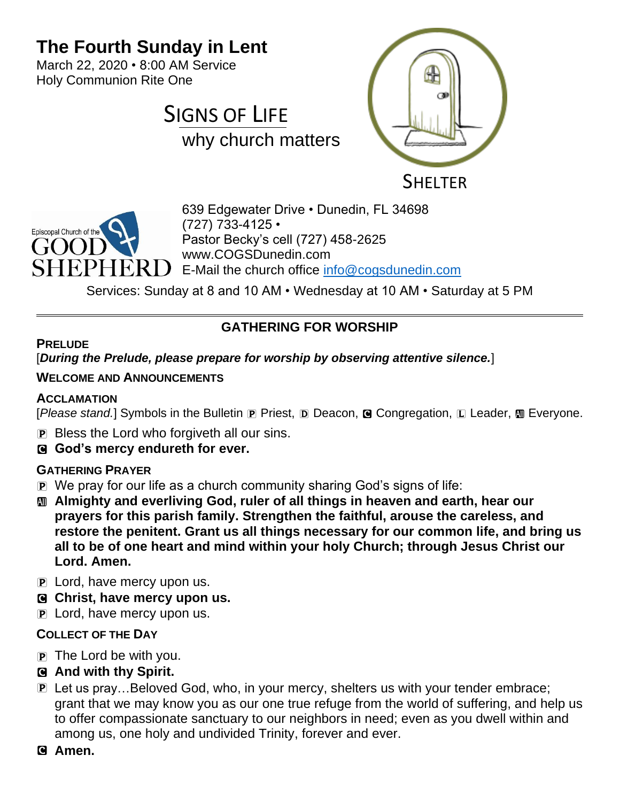## **The Fourth Sunday in Lent**

March 22, 2020 • 8:00 AM Service Holy Communion Rite One







639 Edgewater Drive • Dunedin, FL 34698 (727) 733-4125 • Pastor Becky's cell (727) 458-2625 www.COGSDunedin.com E-Mail the church office [info@cogsdunedin.com](mailto:info@cogsdunedin.com)

Services: Sunday at 8 and 10 AM • Wednesday at 10 AM • Saturday at 5 PM

## **GATHERING FOR WORSHIP**

### **PRELUDE**

### [*During the Prelude, please prepare for worship by observing attentive silence.*]

### **WELCOME AND ANNOUNCEMENTS**

### **ACCLAMATION**

[*Please stand.*] Symbols in the Bulletin **P** Priest, **D** Deacon, **G** Congregation, **L** Leader, **M** Everyone.

- P Bless the Lord who forgiveth all our sins.
- C **God's mercy endureth for ever.**

### **GATHERING PRAYER**

- P We pray for our life as a church community sharing God's signs of life:
- a **Almighty and everliving God, ruler of all things in heaven and earth, hear our prayers for this parish family. Strengthen the faithful, arouse the careless, and restore the penitent. Grant us all things necessary for our common life, and bring us all to be of one heart and mind within your holy Church; through Jesus Christ our Lord. Amen.**
- P Lord, have mercy upon us.
- C **Christ, have mercy upon us.**
- P Lord, have mercy upon us.

## **COLLECT OF THE DAY**

- $\overline{p}$  The Lord be with you.
- C **And with thy Spirit.**
- P Let us pray…Beloved God, who, in your mercy, shelters us with your tender embrace; grant that we may know you as our one true refuge from the world of suffering, and help us to offer compassionate sanctuary to our neighbors in need; even as you dwell within and among us, one holy and undivided Trinity, forever and ever.
- C **Amen.**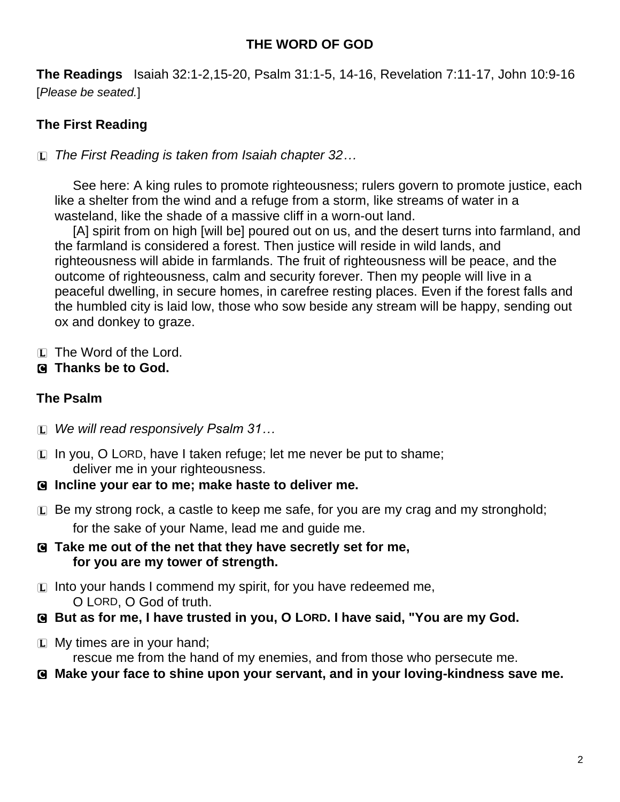## **THE WORD OF GOD**

**The Readings** Isaiah 32:1-2,15-20, Psalm 31:1-5, 14-16, Revelation 7:11-17, John 10:9-16 [*Please be seated.*]

## **The First Reading**

L *The First Reading is taken from Isaiah chapter 32…*

See here: A king rules to promote righteousness; rulers govern to promote justice, each like a shelter from the wind and a refuge from a storm, like streams of water in a wasteland, like the shade of a massive cliff in a worn-out land.

[A] spirit from on high [will be] poured out on us, and the desert turns into farmland, and the farmland is considered a forest. Then justice will reside in wild lands, and righteousness will abide in farmlands. The fruit of righteousness will be peace, and the outcome of righteousness, calm and security forever. Then my people will live in a peaceful dwelling, in secure homes, in carefree resting places. Even if the forest falls and the humbled city is laid low, those who sow beside any stream will be happy, sending out ox and donkey to graze.

L The Word of the Lord.

### C **Thanks be to God.**

### **The Psalm**

- L *We will read responsively Psalm 31…*
- $\Box$  In you, O LORD, have I taken refuge; let me never be put to shame; deliver me in your righteousness.
- C **Incline your ear to me; make haste to deliver me.**
- $E$  Be my strong rock, a castle to keep me safe, for you are my crag and my stronghold; for the sake of your Name, lead me and guide me.
- C **Take me out of the net that they have secretly set for me, for you are my tower of strength.**
- $\Box$  Into your hands I commend my spirit, for you have redeemed me, O LORD, O God of truth.
- C **But as for me, I have trusted in you, O LORD. I have said, "You are my God.**
- $[L]$  My times are in your hand; rescue me from the hand of my enemies, and from those who persecute me.
- C **Make your face to shine upon your servant, and in your loving-kindness save me.**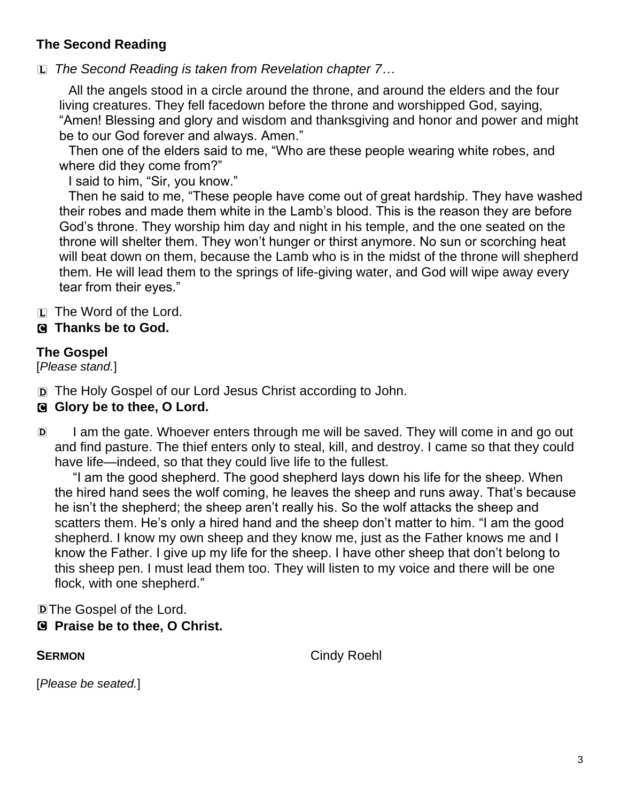## **The Second Reading**

L *The Second Reading is taken from Revelation chapter 7…*

All the angels stood in a circle around the throne, and around the elders and the four living creatures. They fell facedown before the throne and worshipped God, saying, "Amen! Blessing and glory and wisdom and thanksgiving and honor and power and might be to our God forever and always. Amen."

Then one of the elders said to me, "Who are these people wearing white robes, and where did they come from?"

I said to him, "Sir, you know."

Then he said to me, "These people have come out of great hardship. They have washed their robes and made them white in the Lamb's blood. This is the reason they are before God's throne. They worship him day and night in his temple, and the one seated on the throne will shelter them. They won't hunger or thirst anymore. No sun or scorching heat will beat down on them, because the Lamb who is in the midst of the throne will shepherd them. He will lead them to the springs of life-giving water, and God will wipe away every tear from their eyes."

L The Word of the Lord.

## C **Thanks be to God.**

## **The Gospel**

[*Please stand.*]

D The Holy Gospel of our Lord Jesus Christ according to John.

### **G** Glory be to thee, O Lord.

D I am the gate. Whoever enters through me will be saved. They will come in and go out and find pasture. The thief enters only to steal, kill, and destroy. I came so that they could have life—indeed, so that they could live life to the fullest.

"I am the good shepherd. The good shepherd lays down his life for the sheep. When the hired hand sees the wolf coming, he leaves the sheep and runs away. That's because he isn't the shepherd; the sheep aren't really his. So the wolf attacks the sheep and scatters them. He's only a hired hand and the sheep don't matter to him. "I am the good shepherd. I know my own sheep and they know me, just as the Father knows me and I know the Father. I give up my life for the sheep. I have other sheep that don't belong to this sheep pen. I must lead them too. They will listen to my voice and there will be one flock, with one shepherd."

DThe Gospel of the Lord.

## C **Praise be to thee, O Christ.**

**SERMON** Cindy Roehl

[*Please be seated.*]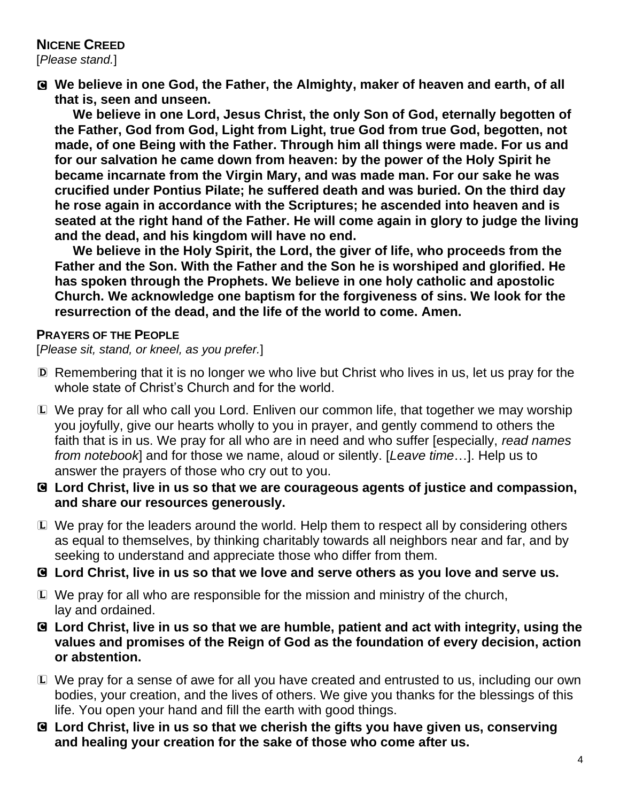# **NICENE CREED**

[*Please stand.*]

C **We believe in one God, the Father, the Almighty, maker of heaven and earth, of all that is, seen and unseen.** 

**We believe in one Lord, Jesus Christ, the only Son of God, eternally begotten of the Father, God from God, Light from Light, true God from true God, begotten, not made, of one Being with the Father. Through him all things were made. For us and for our salvation he came down from heaven: by the power of the Holy Spirit he became incarnate from the Virgin Mary, and was made man. For our sake he was crucified under Pontius Pilate; he suffered death and was buried. On the third day he rose again in accordance with the Scriptures; he ascended into heaven and is seated at the right hand of the Father. He will come again in glory to judge the living and the dead, and his kingdom will have no end.**

**We believe in the Holy Spirit, the Lord, the giver of life, who proceeds from the Father and the Son. With the Father and the Son he is worshiped and glorified. He has spoken through the Prophets. We believe in one holy catholic and apostolic Church. We acknowledge one baptism for the forgiveness of sins. We look for the resurrection of the dead, and the life of the world to come. Amen.**

### **PRAYERS OF THE PEOPLE**

[*Please sit, stand, or kneel, as you prefer.*]

- D Remembering that it is no longer we who live but Christ who lives in us, let us pray for the whole state of Christ's Church and for the world.
- L We pray for all who call you Lord. Enliven our common life, that together we may worship you joyfully, give our hearts wholly to you in prayer, and gently commend to others the faith that is in us. We pray for all who are in need and who suffer [especially, *read names from notebook*] and for those we name, aloud or silently. [*Leave time*…]. Help us to answer the prayers of those who cry out to you.
- C **Lord Christ, live in us so that we are courageous agents of justice and compassion, and share our resources generously.**
- L We pray for the leaders around the world. Help them to respect all by considering others as equal to themselves, by thinking charitably towards all neighbors near and far, and by seeking to understand and appreciate those who differ from them.

C **Lord Christ, live in us so that we love and serve others as you love and serve us.**

- L We pray for all who are responsible for the mission and ministry of the church, lay and ordained.
- C **Lord Christ, live in us so that we are humble, patient and act with integrity, using the values and promises of the Reign of God as the foundation of every decision, action or abstention.**
- L We pray for a sense of awe for all you have created and entrusted to us, including our own bodies, your creation, and the lives of others. We give you thanks for the blessings of this life. You open your hand and fill the earth with good things.
- C **Lord Christ, live in us so that we cherish the gifts you have given us, conserving and healing your creation for the sake of those who come after us.**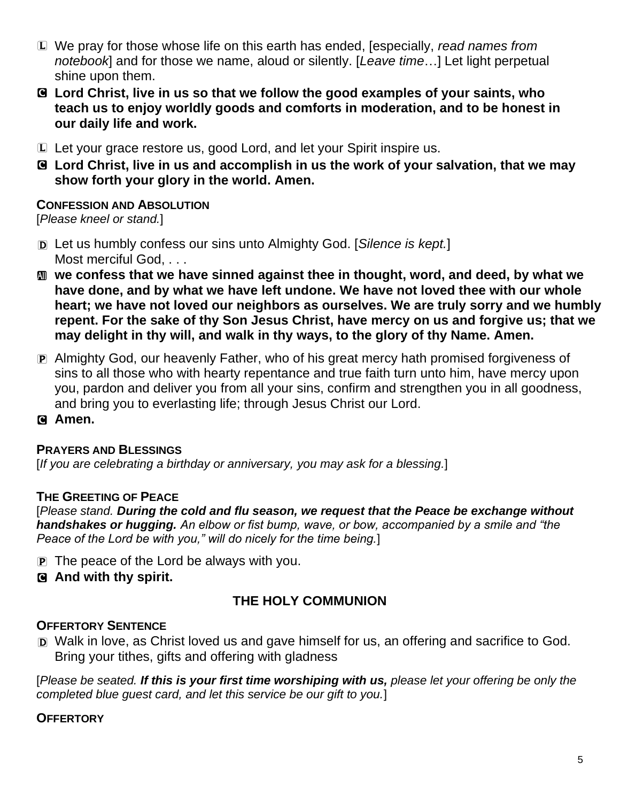- L We pray for those whose life on this earth has ended, [especially, *read names from notebook*] and for those we name, aloud or silently. [*Leave time*…] Let light perpetual shine upon them.
- C **Lord Christ, live in us so that we follow the good examples of your saints, who teach us to enjoy worldly goods and comforts in moderation, and to be honest in our daily life and work.**
- L Let your grace restore us, good Lord, and let your Spirit inspire us.
- C **Lord Christ, live in us and accomplish in us the work of your salvation, that we may show forth your glory in the world. Amen.**

### **CONFESSION AND ABSOLUTION**

[*Please kneel or stand.*]

- D Let us humbly confess our sins unto Almighty God. [*Silence is kept.*] Most merciful God. . . .
- **M** we confess that we have sinned against thee in thought, word, and deed, by what we **have done, and by what we have left undone. We have not loved thee with our whole heart; we have not loved our neighbors as ourselves. We are truly sorry and we humbly repent. For the sake of thy Son Jesus Christ, have mercy on us and forgive us; that we may delight in thy will, and walk in thy ways, to the glory of thy Name. Amen.**
- P Almighty God, our heavenly Father, who of his great mercy hath promised forgiveness of sins to all those who with hearty repentance and true faith turn unto him, have mercy upon you, pardon and deliver you from all your sins, confirm and strengthen you in all goodness, and bring you to everlasting life; through Jesus Christ our Lord.
- C **Amen.**

### **PRAYERS AND BLESSINGS**

[*If you are celebrating a birthday or anniversary, you may ask for a blessing.*]

### **THE GREETING OF PEACE**

[*Please stand. During the cold and flu season, we request that the Peace be exchange without handshakes or hugging. An elbow or fist bump, wave, or bow, accompanied by a smile and "the Peace of the Lord be with you," will do nicely for the time being.*]

 $\mathbf{P}$  The peace of the Lord be always with you.

### C **And with thy spirit.**

### **THE HOLY COMMUNION**

### **OFFERTORY SENTENCE**

D Walk in love, as Christ loved us and gave himself for us, an offering and sacrifice to God. Bring your tithes, gifts and offering with gladness

[*Please be seated. If this is your first time worshiping with us, please let your offering be only the completed blue guest card, and let this service be our gift to you.*]

#### **OFFERTORY**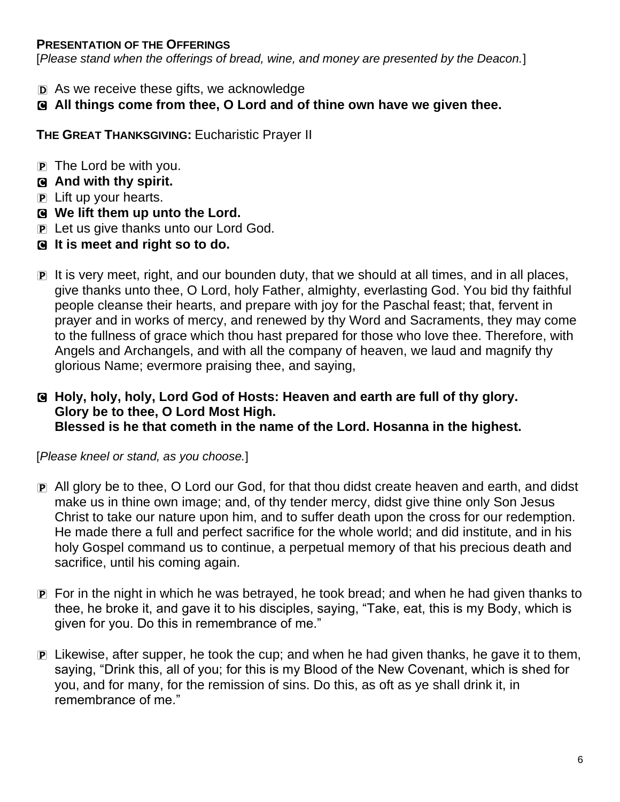### **PRESENTATION OF THE OFFERINGS**

[*Please stand when the offerings of bread, wine, and money are presented by the Deacon.*]

- D As we receive these gifts, we acknowledge
- C **All things come from thee, O Lord and of thine own have we given thee.**

**THE GREAT THANKSGIVING:** Eucharistic Prayer II

- $\overline{p}$  The Lord be with you.
- C **And with thy spirit.**
- P Lift up your hearts.
- C **We lift them up unto the Lord.**
- P Let us give thanks unto our Lord God.
- C **It is meet and right so to do.**
- P It is very meet, right, and our bounden duty, that we should at all times, and in all places, give thanks unto thee, O Lord, holy Father, almighty, everlasting God. You bid thy faithful people cleanse their hearts, and prepare with joy for the Paschal feast; that, fervent in prayer and in works of mercy, and renewed by thy Word and Sacraments, they may come to the fullness of grace which thou hast prepared for those who love thee. Therefore, with Angels and Archangels, and with all the company of heaven, we laud and magnify thy glorious Name; evermore praising thee, and saying,

### C **Holy, holy, holy, Lord God of Hosts: Heaven and earth are full of thy glory. Glory be to thee, O Lord Most High. Blessed is he that cometh in the name of the Lord. Hosanna in the highest.**

[*Please kneel or stand, as you choose.*]

- P All glory be to thee, O Lord our God, for that thou didst create heaven and earth, and didst make us in thine own image; and, of thy tender mercy, didst give thine only Son Jesus Christ to take our nature upon him, and to suffer death upon the cross for our redemption. He made there a full and perfect sacrifice for the whole world; and did institute, and in his holy Gospel command us to continue, a perpetual memory of that his precious death and sacrifice, until his coming again.
- P For in the night in which he was betrayed, he took bread; and when he had given thanks to thee, he broke it, and gave it to his disciples, saying, "Take, eat, this is my Body, which is given for you. Do this in remembrance of me."
- $\mathbb{P}$  Likewise, after supper, he took the cup; and when he had given thanks, he gave it to them, saying, "Drink this, all of you; for this is my Blood of the New Covenant, which is shed for you, and for many, for the remission of sins. Do this, as oft as ye shall drink it, in remembrance of me."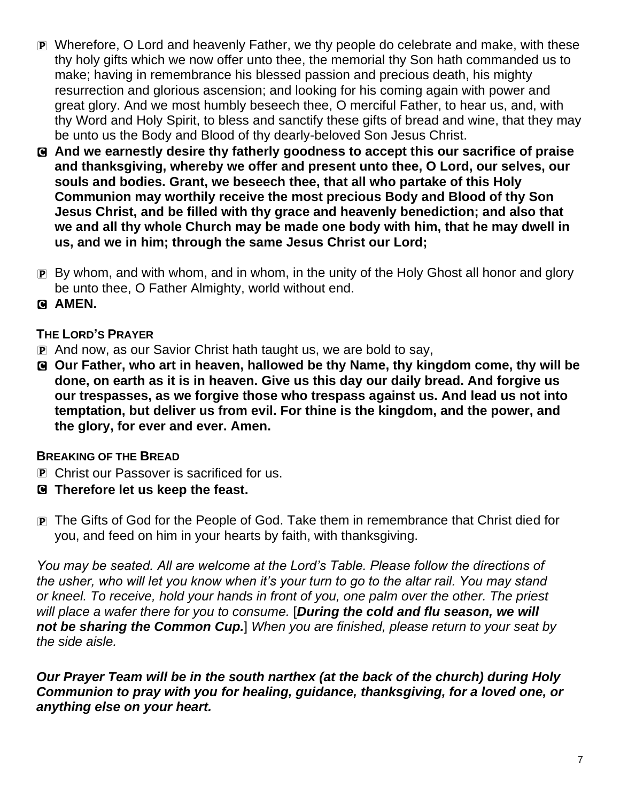- P Wherefore, O Lord and heavenly Father, we thy people do celebrate and make, with these thy holy gifts which we now offer unto thee, the memorial thy Son hath commanded us to make; having in remembrance his blessed passion and precious death, his mighty resurrection and glorious ascension; and looking for his coming again with power and great glory. And we most humbly beseech thee, O merciful Father, to hear us, and, with thy Word and Holy Spirit, to bless and sanctify these gifts of bread and wine, that they may be unto us the Body and Blood of thy dearly-beloved Son Jesus Christ.
- C **And we earnestly desire thy fatherly goodness to accept this our sacrifice of praise and thanksgiving, whereby we offer and present unto thee, O Lord, our selves, our souls and bodies. Grant, we beseech thee, that all who partake of this Holy Communion may worthily receive the most precious Body and Blood of thy Son Jesus Christ, and be filled with thy grace and heavenly benediction; and also that we and all thy whole Church may be made one body with him, that he may dwell in us, and we in him; through the same Jesus Christ our Lord;**
- P By whom, and with whom, and in whom, in the unity of the Holy Ghost all honor and glory be unto thee, O Father Almighty, world without end.
- C **AMEN.**

### **THE LORD'S PRAYER**

- P And now, as our Savior Christ hath taught us, we are bold to say,
- C **Our Father, who art in heaven, hallowed be thy Name, thy kingdom come, thy will be done, on earth as it is in heaven. Give us this day our daily bread. And forgive us our trespasses, as we forgive those who trespass against us. And lead us not into temptation, but deliver us from evil. For thine is the kingdom, and the power, and the glory, for ever and ever. Amen.**

### **BREAKING OF THE BREAD**

- P Christ our Passover is sacrificed for us.
- C **Therefore let us keep the feast.**
- P The Gifts of God for the People of God. Take them in remembrance that Christ died for you, and feed on him in your hearts by faith, with thanksgiving.

*You may be seated. All are welcome at the Lord's Table. Please follow the directions of the usher, who will let you know when it's your turn to go to the altar rail. You may stand or kneel. To receive, hold your hands in front of you, one palm over the other. The priest will place a wafer there for you to consume.* [*During the cold and flu season, we will not be sharing the Common Cup.*] *When you are finished, please return to your seat by the side aisle.*

*Our Prayer Team will be in the south narthex (at the back of the church) during Holy Communion to pray with you for healing, guidance, thanksgiving, for a loved one, or anything else on your heart.*